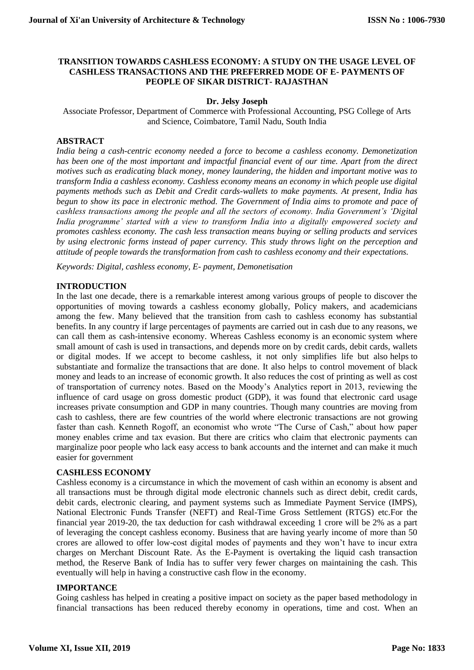# **TRANSITION TOWARDS CASHLESS ECONOMY: A STUDY ON THE USAGE LEVEL OF CASHLESS TRANSACTIONS AND THE PREFERRED MODE OF E- PAYMENTS OF PEOPLE OF SIKAR DISTRICT- RAJASTHAN**

# **Dr. Jelsy Joseph**

Associate Professor, Department of Commerce with Professional Accounting, PSG College of Arts and Science, Coimbatore, Tamil Nadu, South India

# **ABSTRACT**

*India being a cash-centric economy needed a force to become a cashless economy. Demonetization has been one of the most important and impactful financial event of our time. Apart from the direct motives such as eradicating black money, money laundering, the hidden and important motive was to transform India a cashless economy. Cashless economy means an economy in which people use digital payments methods such as Debit and Credit cards-wallets to make payments. At present, India has begun to show its pace in electronic method. The Government of India aims to promote and pace of cashless transactions among the people and all the sectors of economy. India Government's 'Digital India programme' started with a view to transform India into a digitally empowered society and promotes cashless economy. The cash less transaction means buying or selling products and services by using electronic forms instead of paper currency. This study throws light on the perception and attitude of people towards the transformation from cash to cashless economy and their expectations.*

*Keywords: Digital, cashless economy, E- payment, Demonetisation*

### **INTRODUCTION**

In the last one decade, there is a remarkable interest among various groups of people to discover the opportunities of moving towards a cashless economy globally, Policy makers, and academicians among the few. Many believed that the transition from cash to cashless economy has substantial benefits. In any country if large percentages of payments are carried out in cash due to any reasons, we can call them as cash-intensive economy. Whereas Cashless economy is an economic system where small amount of cash is used in transactions, and depends more on by credit cards, debit cards, wallets or digital modes. If we accept to become cashless, it not only simplifies life but also helps to substantiate and formalize the transactions that are done. It also helps to control movement of black money and leads to an increase of economic growth. It also reduces the cost of printing as well as cost of transportation of currency notes. Based on the Moody's Analytics report in 2013, reviewing the influence of card usage on gross domestic product (GDP), it was found that electronic card usage increases private consumption and GDP in many countries. Though many countries are moving from cash to cashless, there are few countries of the world where electronic transactions are not growing faster than cash. Kenneth Rogoff, an economist who wrote "The Curse of Cash," about how paper money enables crime and tax evasion. But there are critics who claim that electronic payments can marginalize poor people who lack easy access to bank accounts and the internet and can make it much easier for government

# **CASHLESS ECONOMY**

Cashless economy is a circumstance in which the movement of cash within an economy is absent and all transactions must be through digital mode electronic channels such as direct debit, credit cards, debit cards, electronic clearing, and payment systems such as Immediate Payment Service (IMPS), National Electronic Funds Transfer (NEFT) and Real-Time Gross Settlement (RTGS) etc.For the financial year 2019-20, the tax deduction for cash withdrawal exceeding 1 crore will be 2% as a part of leveraging the concept cashless economy. Business that are having yearly income of more than 50 crores are allowed to offer low-cost digital modes of payments and they won't have to incur extra charges on Merchant Discount Rate. As the E-Payment is overtaking the liquid cash transaction method, the Reserve Bank of India has to suffer very fewer charges on maintaining the cash. This eventually will help in having a constructive cash flow in the economy.

#### **IMPORTANCE**

Going cashless has helped in creating a positive impact on society as the paper based methodology in financial transactions has been reduced thereby economy in operations, time and cost. When an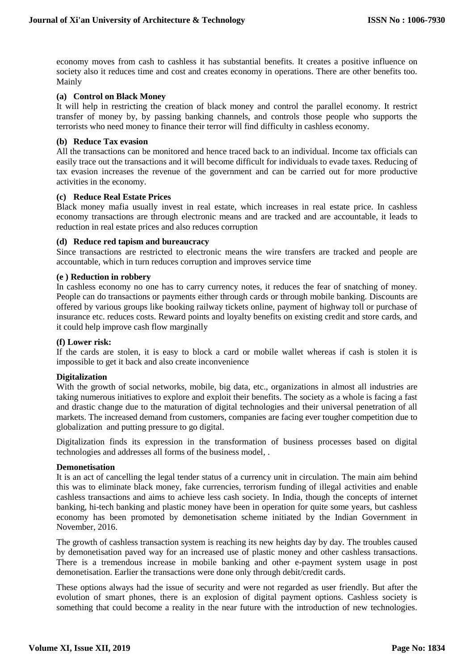economy moves from cash to cashless it has substantial benefits. It creates a positive influence on society also it reduces time and cost and creates economy in operations. There are other benefits too. Mainly

### **(a) Control on Black Money**

It will help in restricting the creation of black money and control the parallel economy. It restrict transfer of money by, by passing banking channels, and controls those people who supports the terrorists who need money to finance their terror will find difficulty in cashless economy.

### **(b) Reduce Tax evasion**

All the transactions can be monitored and hence traced back to an individual. Income tax officials can easily trace out the transactions and it will become difficult for individuals to evade taxes. Reducing of tax evasion increases the revenue of the government and can be carried out for more productive activities in the economy.

### **(c) Reduce Real Estate Prices**

Black money mafia usually invest in real estate, which increases in real estate price. In cashless economy transactions are through electronic means and are tracked and are accountable, it leads to reduction in real estate prices and also reduces corruption

### **(d) Reduce red tapism and bureaucracy**

Since transactions are restricted to electronic means the wire transfers are tracked and people are accountable, which in turn reduces corruption and improves service time

#### **(e ) Reduction in robbery**

In cashless economy no one has to carry currency notes, it reduces the fear of snatching of money. People can do transactions or payments either through cards or through mobile banking. Discounts are offered by various groups like booking railway tickets online, payment of highway toll or purchase of insurance etc. reduces costs. Reward points and loyalty benefits on existing credit and store cards, and it could help improve cash flow marginally

#### **(f) Lower risk:**

If the cards are stolen, it is easy to block a card or mobile wallet whereas if cash is stolen it is impossible to get it back and also create inconvenience

# **Digitalization**

With the growth of social networks, mobile, big data, etc., organizations in almost all industries are taking numerous initiatives to explore and exploit their benefits. The society as a whole is facing a fast and drastic change due to the maturation of digital technologies and their universal penetration of all markets. The increased demand from customers, companies are facing ever tougher competition due to globalization and putting pressure to go digital.

Digitalization finds its expression in the transformation of business processes based on digital technologies and addresses all forms of the business model, .

#### **Demonetisation**

It is an act of cancelling the legal tender status of a currency unit in circulation. The main aim behind this was to eliminate black money, fake currencies, terrorism funding of illegal activities and enable cashless transactions and aims to achieve less cash society. In India, though the concepts of internet banking, hi-tech banking and plastic money have been in operation for quite some years, but cashless economy has been promoted by demonetisation scheme initiated by the Indian Government in November, 2016.

The growth of cashless transaction system is reaching its new heights day by day. The troubles caused by demonetisation paved way for an increased use of plastic money and other cashless transactions. There is a tremendous increase in mobile banking and other e-payment system usage in post demonetisation. Earlier the transactions were done only through debit/credit cards.

These options always had the issue of security and were not regarded as user friendly. But after the evolution of smart phones, there is an explosion of digital payment options. Cashless society is something that could become a reality in the near future with the introduction of new technologies.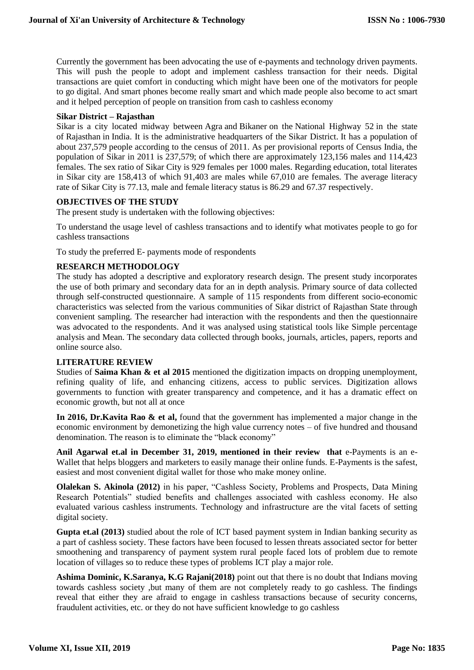Currently the government has been advocating the use of e-payments and technology driven payments. This will push the people to adopt and implement cashless transaction for their needs. Digital transactions are quiet comfort in conducting which might have been one of the motivators for people to go digital. And smart phones become really smart and which made people also become to act smart and it helped perception of people on transition from cash to cashless economy

# **Sikar District – Rajasthan**

Sikar is a city located midway between [Agra](https://en.wikipedia.org/wiki/Agra) and [Bikaner](https://en.wikipedia.org/wiki/Bikaner) on the [National Highway 52](https://en.wikipedia.org/wiki/National_Highway_52_(India)) in the state of [Rajasthan](https://en.wikipedia.org/wiki/Rajasthan) in [India.](https://en.wikipedia.org/wiki/India) It is the administrative headquarters of the [Sikar District.](https://en.wikipedia.org/wiki/Sikar_District) It has a population of about 237,579 people according to the census of 2011. As per provisional reports of Census India, the population of Sikar in 2011 is 237,579; of which there are approximately 123,156 males and 114,423 females. The sex ratio of Sikar City is 929 females per 1000 males. Regarding education, total literates in Sikar city are 158,413 of which 91,403 are males while 67,010 are females. The average literacy rate of Sikar City is 77.13, male and female literacy status is 86.29 and 67.37 respectively.

# **OBJECTIVES OF THE STUDY**

The present study is undertaken with the following objectives:

To understand the usage level of cashless transactions and to identify what motivates people to go for cashless transactions

To study the preferred E- payments mode of respondents

# **RESEARCH METHODOLOGY**

The study has adopted a descriptive and exploratory research design. The present study incorporates the use of both primary and secondary data for an in depth analysis. Primary source of data collected through self-constructed questionnaire. A sample of 115 respondents from different socio-economic characteristics was selected from the various communities of Sikar district of Rajasthan State through convenient sampling. The researcher had interaction with the respondents and then the questionnaire was advocated to the respondents. And it was analysed using statistical tools like Simple percentage analysis and Mean. The secondary data collected through books, journals, articles, papers, reports and online source also.

# **LITERATURE REVIEW**

Studies of **Saima Khan & et al 2015** mentioned the digitization impacts on dropping unemployment, refining quality of life, and enhancing citizens, access to public services. Digitization allows governments to function with greater transparency and competence, and it has a dramatic effect on economic growth, but not all at once

**In 2016, Dr.Kavita Rao & et al,** found that the government has implemented a major change in the economic environment by demonetizing the high value currency notes – of five hundred and thousand denomination. The reason is to eliminate the "black economy"

**[Anil Agarwal](https://bloggerspassion.com/author/anil-agarwal/) et.al in December 31, 2019, mentioned in their review that** e-Payments is an e-Wallet that helps bloggers and marketers to easily manage their online funds. E-Payments is the safest, easiest and most convenient digital wallet for those who make money online.

**Olalekan S. Akinola (2012)** in his paper, "Cashless Society, Problems and Prospects, Data Mining Research Potentials" studied benefits and challenges associated with cashless economy. He also evaluated various cashless instruments. Technology and infrastructure are the vital facets of setting digital society.

**Gupta et.al (2013)** studied about the role of ICT based payment system in Indian banking security as a part of cashless society. These factors have been focused to lessen threats associated sector for better smoothening and transparency of payment system rural people faced lots of problem due to remote location of villages so to reduce these types of problems ICT play a major role.

**Ashima Dominic, K.Saranya, K.G Rajani(2018)** point out that there is no doubt that Indians moving towards cashless society ,but many of them are not completely ready to go cashless. The findings reveal that either they are afraid to engage in cashless transactions because of security concerns, fraudulent activities, etc. or they do not have sufficient knowledge to go cashless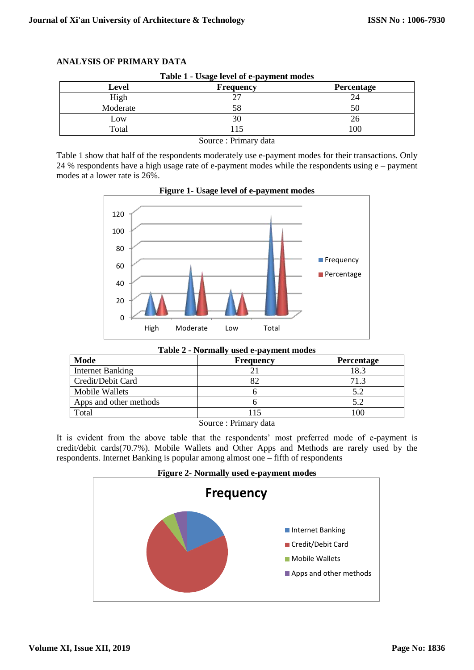| <b>Level</b> | <b>Frequency</b> | <b>Percentage</b> |
|--------------|------------------|-------------------|
| High         |                  |                   |
| Moderate     |                  | 50                |
| Low          |                  | 26                |
| Total        |                  | 100               |

**ANALYSIS OF PRIMARY DATA**

Source : Primary data

Table 1 show that half of the respondents moderately use e-payment modes for their transactions. Only 24 % respondents have a high usage rate of e-payment modes while the respondents using e – payment modes at a lower rate is 26%.



**Figure 1- Usage level of e-payment modes**

|  |  |  |  |  | Table 2 - Normally used e-payment modes |  |
|--|--|--|--|--|-----------------------------------------|--|
|--|--|--|--|--|-----------------------------------------|--|

| Mode                    | <b>Frequency</b>                                                 | Percentage |
|-------------------------|------------------------------------------------------------------|------------|
| <b>Internet Banking</b> |                                                                  | 18.3       |
| Credit/Debit Card       |                                                                  | 71.3       |
| <b>Mobile Wallets</b>   |                                                                  | 5.2        |
| Apps and other methods  |                                                                  | 5.2        |
| Total                   |                                                                  | 100        |
|                         | $\mathbf{a}$ $\mathbf{b}$ $\mathbf{a}$ $\mathbf{b}$ $\mathbf{c}$ |            |

Source : Primary data

It is evident from the above table that the respondents' most preferred mode of e-payment is credit/debit cards(70.7%). Mobile Wallets and Other Apps and Methods are rarely used by the respondents. Internet Banking is popular among almost one – fifth of respondents

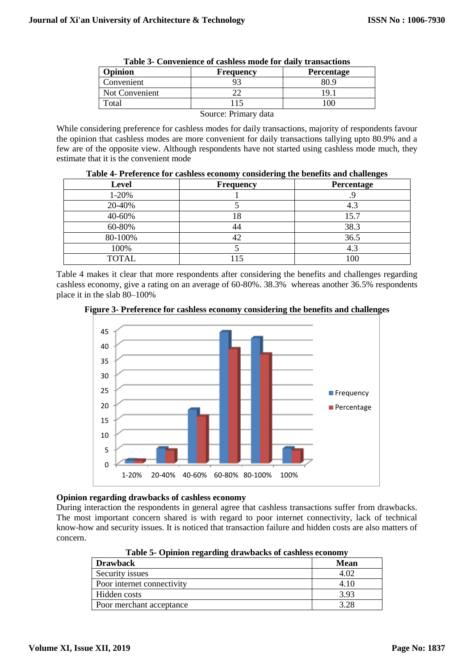| .                   |                  |                   |  |  |
|---------------------|------------------|-------------------|--|--|
| Opinion             | <b>Frequency</b> | <b>Percentage</b> |  |  |
| Convenient          |                  |                   |  |  |
| Not Convenient      |                  | Q                 |  |  |
| <sup>-</sup> otal   |                  | 00                |  |  |
| Course Drimery data |                  |                   |  |  |

|  | Table 3- Convenience of cashless mode for daily transactions |  |  |  |  |  |  |
|--|--------------------------------------------------------------|--|--|--|--|--|--|
|--|--------------------------------------------------------------|--|--|--|--|--|--|

Source: Primary data

While considering preference for cashless modes for daily transactions, majority of respondents favour the opinion that cashless modes are more convenient for daily transactions tallying upto 80.9% and a few are of the opposite view. Although respondents have not started using cashless mode much, they estimate that it is the convenient mode

| <b>Level</b> | <b>Frequency</b> | Percentage |  |  |
|--------------|------------------|------------|--|--|
| $1-20%$      |                  |            |  |  |
| 20-40%       |                  | 4.3        |  |  |
| 40-60%       | 18               | 15.7       |  |  |
| 60-80%       | 44               | 38.3       |  |  |
| 80-100%      |                  | 36.5       |  |  |
| 100%         |                  | 4.3        |  |  |
| <b>TOTAL</b> | 15               | 100        |  |  |

| Table 4- Preference for cashless economy considering the benefits and challenges |  |
|----------------------------------------------------------------------------------|--|
|                                                                                  |  |

Table 4 makes it clear that more respondents after considering the benefits and challenges regarding cashless economy, give a rating on an average of 60-80%. 38.3% whereas another 36.5% respondents place it in the slab 80–100%





# **Opinion regarding drawbacks of cashless economy**

During interaction the respondents in general agree that cashless transactions suffer from drawbacks. The most important concern shared is with regard to poor internet connectivity, lack of technical know-how and security issues. It is noticed that transaction failure and hidden costs are also matters of concern.

1-20% 20-40% 40-60% 60-80% 80-100% 100%

| Table & Ophilon regarding arawbachs of casiness economy |             |  |  |
|---------------------------------------------------------|-------------|--|--|
| <b>Drawback</b>                                         | <b>Mean</b> |  |  |
| Security issues                                         | 4.02        |  |  |
| Poor internet connectivity                              | 4.10        |  |  |
| Hidden costs                                            | 3.93        |  |  |
| Poor merchant acceptance                                | 3.28        |  |  |

**Table 5- Opinion regarding drawbacks of cashless economy**

**Frequency Percentage**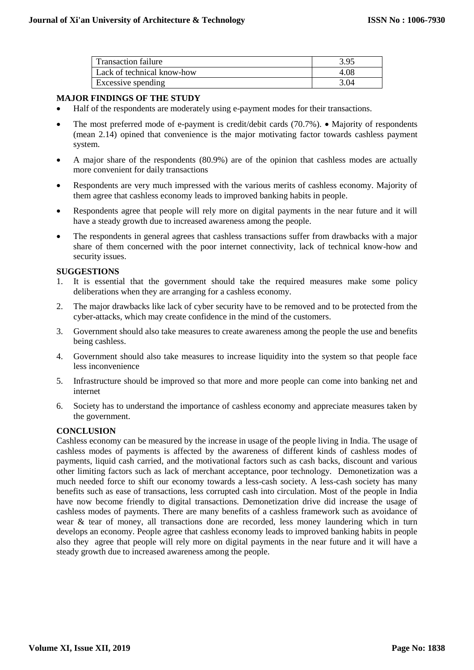| <b>Transaction failure</b> | 3.95 |
|----------------------------|------|
| Lack of technical know-how | 4.08 |
| Excessive spending         | 3.04 |

# **MAJOR FINDINGS OF THE STUDY**

- Half of the respondents are moderately using e-payment modes for their transactions.
- The most preferred mode of e-payment is credit/debit cards  $(70.7%)$ . Majority of respondents (mean 2.14) opined that convenience is the major motivating factor towards cashless payment system.
- A major share of the respondents (80.9%) are of the opinion that cashless modes are actually more convenient for daily transactions
- Respondents are very much impressed with the various merits of cashless economy. Majority of them agree that cashless economy leads to improved banking habits in people.
- Respondents agree that people will rely more on digital payments in the near future and it will have a steady growth due to increased awareness among the people.
- The respondents in general agrees that cashless transactions suffer from drawbacks with a major share of them concerned with the poor internet connectivity, lack of technical know-how and security issues.

# **SUGGESTIONS**

- 1. It is essential that the government should take the required measures make some policy deliberations when they are arranging for a cashless economy.
- 2. The major drawbacks like lack of cyber security have to be removed and to be protected from the cyber-attacks, which may create confidence in the mind of the customers.
- 3. Government should also take measures to create awareness among the people the use and benefits being cashless.
- 4. Government should also take measures to increase liquidity into the system so that people face less inconvenience
- 5. Infrastructure should be improved so that more and more people can come into banking net and internet
- 6. Society has to understand the importance of cashless economy and appreciate measures taken by the government.

# **CONCLUSION**

Cashless economy can be measured by the increase in usage of the people living in India. The usage of cashless modes of payments is affected by the awareness of different kinds of cashless modes of payments, liquid cash carried, and the motivational factors such as cash backs, discount and various other limiting factors such as lack of merchant acceptance, poor technology. Demonetization was a much needed force to shift our economy towards a less-cash society. A less-cash society has many benefits such as ease of transactions, less corrupted cash into circulation. Most of the people in India have now become friendly to digital transactions. Demonetization drive did increase the usage of cashless modes of payments. There are many benefits of a cashless framework such as avoidance of wear & tear of money, all transactions done are recorded, less money laundering which in turn develops an economy. People agree that cashless economy leads to improved banking habits in people also they agree that people will rely more on digital payments in the near future and it will have a steady growth due to increased awareness among the people.